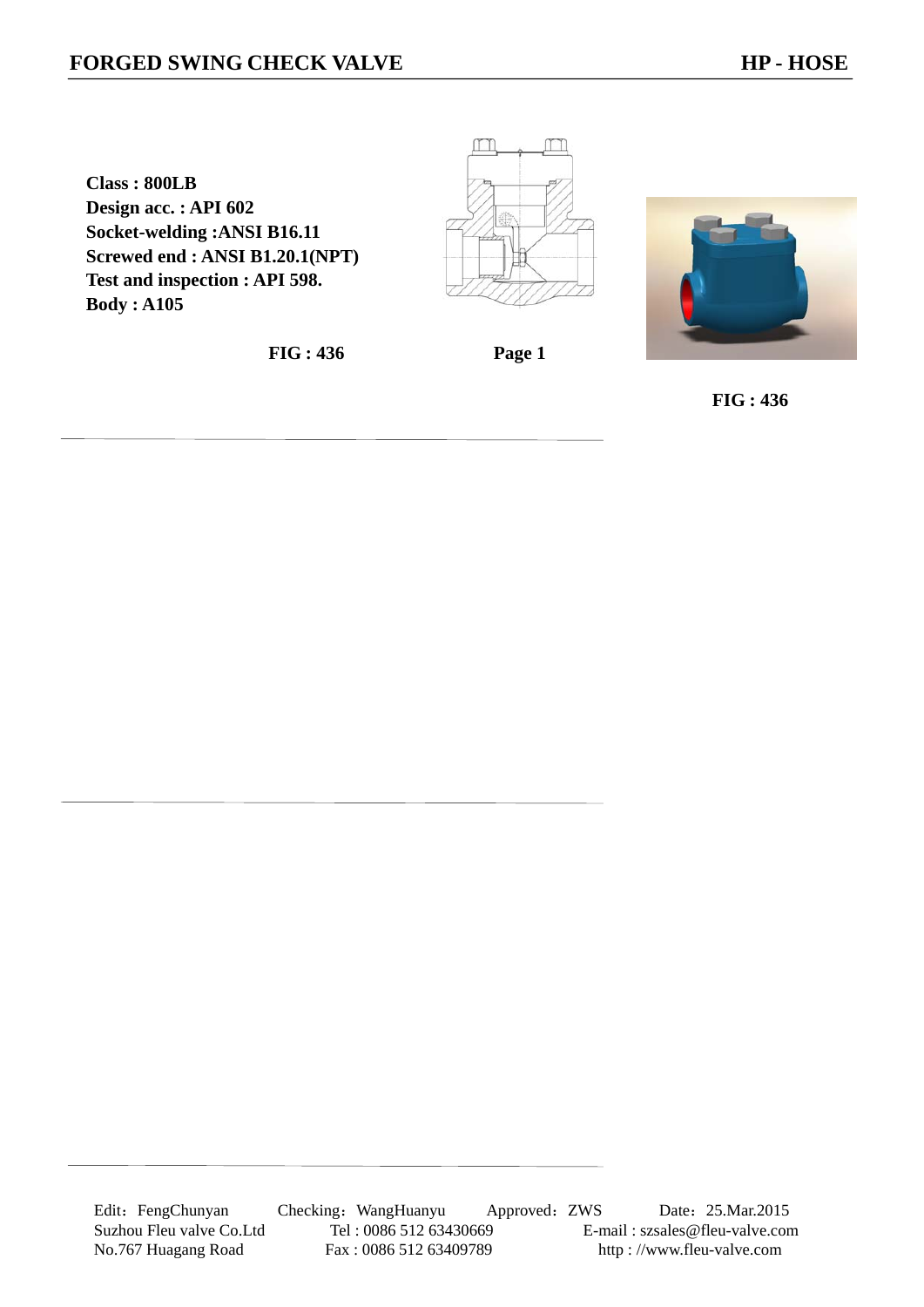**Class : 800LB Design acc. : API 602 Socket-welding :ANSI B16.11 Screwed end : ANSI B1.20.1(NPT) Test and inspection : API 598. Body : A105** 

**FIG : 436 Page 1** 

M

m



 **FIG : 436**